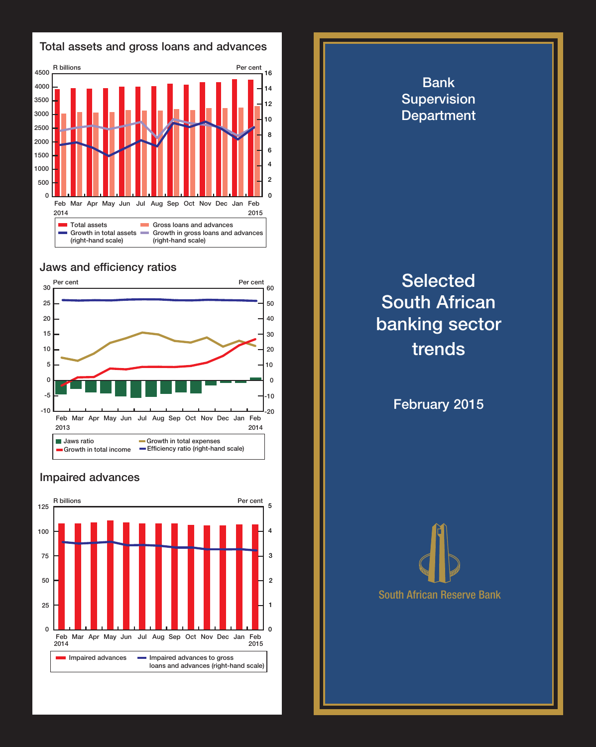

## Jaws and efficiency ratios



## Impaired advances



**Department Selected** South African banking sector trends

Bank Supervision